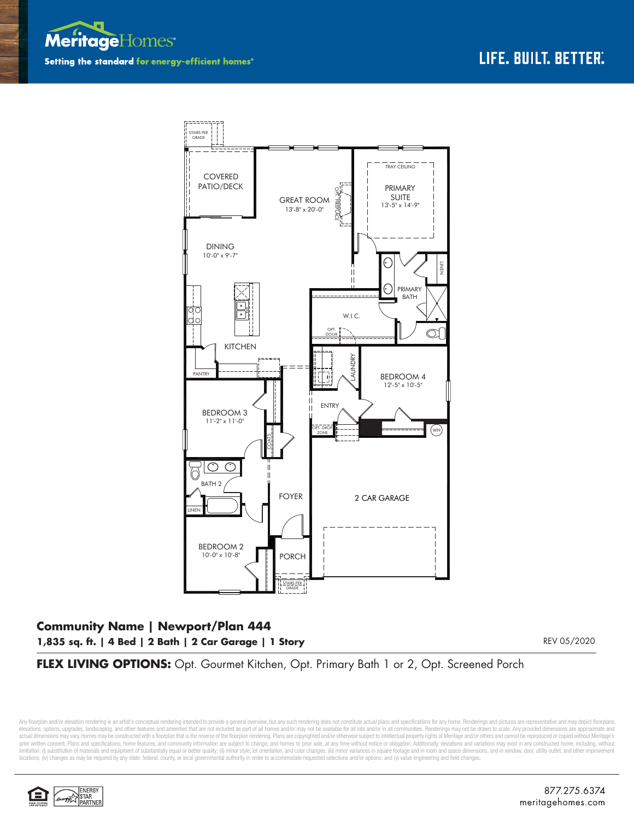



## **Community Name | Newport/Plan 444 1,835 sq. ft. | 4 Bed | 2 Bath | 2 Car Garage | 1 Story**

REV 05/2020

## FLEX LIVING OPTIONS: Opt. Gourmet Kitchen, Opt. Primary Bath 1 or 2, Opt. Screened Porch

Any floorplan and/or elevation rendering is an artist's conceptual rendering intended to provide a general overview, but any such rendering does not constitute actual plans and specifications for any home. Renderings and p elevations, options, upgrades, landscaping, and other features and amenities that are not included as part of all homes and/or may not be available for all lots and/or in all communities. Renderings may not be drawn to sca limitation: (i) substitution of materials and equipment of substantially equal or better quality; (ii) minor style, lot orientation, and color changes; (iii) minor variances in square footage and in room and space dimensio locations; (iv) changes as may be required by any state, federal, county, or local governmental authority in order to accommodate requested selections and/or options; and (v) value engineering and field changes.